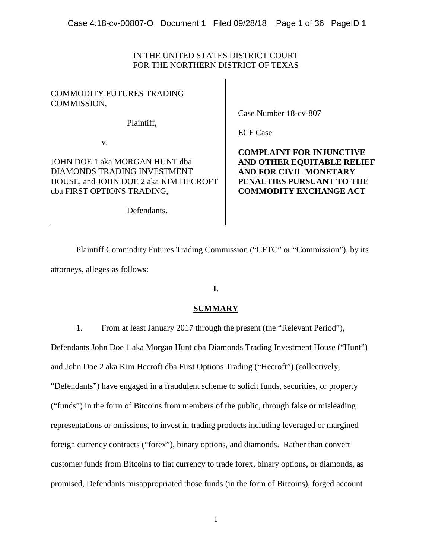## IN THE UNITED STATES DISTRICT COURT FOR THE NORTHERN DISTRICT OF TEXAS

## COMMODITY FUTURES TRADING COMMISSION,

Plaintiff,

v.

JOHN DOE 1 aka MORGAN HUNT dba DIAMONDS TRADING INVESTMENT HOUSE, and JOHN DOE 2 aka KIM HECROFT dba FIRST OPTIONS TRADING,

Case Number 18-cv-807

ECF Case

**COMPLAINT FOR INJUNCTIVE AND OTHER EQUITABLE RELIEF AND FOR CIVIL MONETARY PENALTIES PURSUANT TO THE COMMODITY EXCHANGE ACT**

Defendants.

Plaintiff Commodity Futures Trading Commission ("CFTC" or "Commission"), by its attorneys, alleges as follows:

## **I.**

## **SUMMARY**

1. From at least January 2017 through the present (the "Relevant Period"),

Defendants John Doe 1 aka Morgan Hunt dba Diamonds Trading Investment House ("Hunt")

and John Doe 2 aka Kim Hecroft dba First Options Trading ("Hecroft") (collectively,

"Defendants") have engaged in a fraudulent scheme to solicit funds, securities, or property

("funds") in the form of Bitcoins from members of the public, through false or misleading

representations or omissions, to invest in trading products including leveraged or margined

foreign currency contracts ("forex"), binary options, and diamonds. Rather than convert customer funds from Bitcoins to fiat currency to trade forex, binary options, or diamonds, as

promised, Defendants misappropriated those funds (in the form of Bitcoins), forged account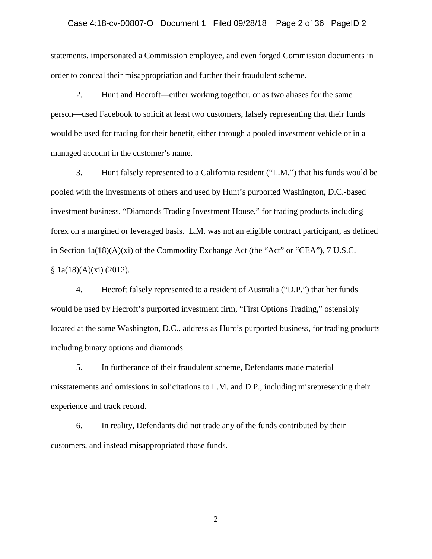#### Case 4:18-cv-00807-O Document 1 Filed 09/28/18 Page 2 of 36 PageID 2

statements, impersonated a Commission employee, and even forged Commission documents in order to conceal their misappropriation and further their fraudulent scheme.

2. Hunt and Hecroft—either working together, or as two aliases for the same person—used Facebook to solicit at least two customers, falsely representing that their funds would be used for trading for their benefit, either through a pooled investment vehicle or in a managed account in the customer's name.

3. Hunt falsely represented to a California resident ("L.M.") that his funds would be pooled with the investments of others and used by Hunt's purported Washington, D.C.-based investment business, "Diamonds Trading Investment House," for trading products including forex on a margined or leveraged basis. L.M. was not an eligible contract participant, as defined in Section 1a(18)(A)(xi) of the Commodity Exchange Act (the "Act" or "CEA"), 7 U.S.C.  $§ 1a(18)(A)(xi) (2012).$ 

4. Hecroft falsely represented to a resident of Australia ("D.P.") that her funds would be used by Hecroft's purported investment firm, "First Options Trading," ostensibly located at the same Washington, D.C., address as Hunt's purported business, for trading products including binary options and diamonds.

5. In furtherance of their fraudulent scheme, Defendants made material misstatements and omissions in solicitations to L.M. and D.P., including misrepresenting their experience and track record.

6. In reality, Defendants did not trade any of the funds contributed by their customers, and instead misappropriated those funds.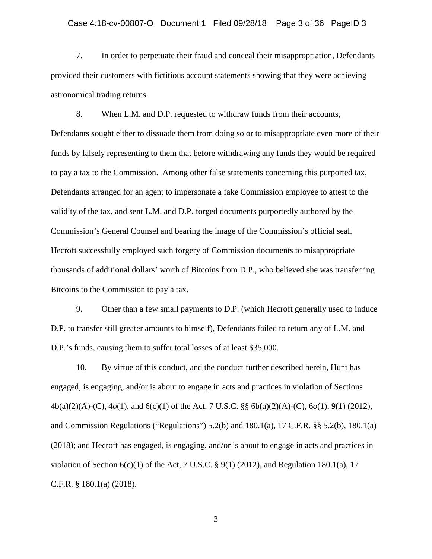#### Case 4:18-cv-00807-O Document 1 Filed 09/28/18 Page 3 of 36 PageID 3

7. In order to perpetuate their fraud and conceal their misappropriation, Defendants provided their customers with fictitious account statements showing that they were achieving astronomical trading returns.

8. When L.M. and D.P. requested to withdraw funds from their accounts, Defendants sought either to dissuade them from doing so or to misappropriate even more of their funds by falsely representing to them that before withdrawing any funds they would be required to pay a tax to the Commission. Among other false statements concerning this purported tax, Defendants arranged for an agent to impersonate a fake Commission employee to attest to the validity of the tax, and sent L.M. and D.P. forged documents purportedly authored by the Commission's General Counsel and bearing the image of the Commission's official seal. Hecroft successfully employed such forgery of Commission documents to misappropriate thousands of additional dollars' worth of Bitcoins from D.P., who believed she was transferring Bitcoins to the Commission to pay a tax.

9. Other than a few small payments to D.P. (which Hecroft generally used to induce D.P. to transfer still greater amounts to himself), Defendants failed to return any of L.M. and D.P.'s funds, causing them to suffer total losses of at least \$35,000.

10. By virtue of this conduct, and the conduct further described herein, Hunt has engaged, is engaging, and/or is about to engage in acts and practices in violation of Sections 4b(a)(2)(A)-(C), 4*o*(1), and 6(c)(1) of the Act, 7 U.S.C. §§ 6b(a)(2)(A)-(C), 6*o*(1), 9(1) (2012), and Commission Regulations ("Regulations")  $5.2(b)$  and  $180.1(a)$ ,  $17$  C.F.R. §§  $5.2(b)$ ,  $180.1(a)$ (2018); and Hecroft has engaged, is engaging, and/or is about to engage in acts and practices in violation of Section  $6(c)(1)$  of the Act, 7 U.S.C. § 9(1) (2012), and Regulation 180.1(a), 17 C.F.R. § 180.1(a) (2018).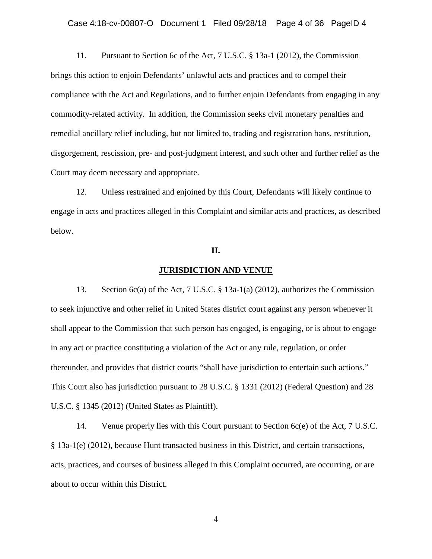#### Case 4:18-cv-00807-O Document 1 Filed 09/28/18 Page 4 of 36 PageID 4

11. Pursuant to Section 6c of the Act, 7 U.S.C. § 13a-1 (2012), the Commission brings this action to enjoin Defendants' unlawful acts and practices and to compel their compliance with the Act and Regulations, and to further enjoin Defendants from engaging in any commodity-related activity. In addition, the Commission seeks civil monetary penalties and remedial ancillary relief including, but not limited to, trading and registration bans, restitution, disgorgement, rescission, pre- and post-judgment interest, and such other and further relief as the Court may deem necessary and appropriate.

12. Unless restrained and enjoined by this Court, Defendants will likely continue to engage in acts and practices alleged in this Complaint and similar acts and practices, as described below.

#### **II.**

#### **JURISDICTION AND VENUE**

13. Section 6c(a) of the Act, 7 U.S.C. § 13a-1(a) (2012), authorizes the Commission to seek injunctive and other relief in United States district court against any person whenever it shall appear to the Commission that such person has engaged, is engaging, or is about to engage in any act or practice constituting a violation of the Act or any rule, regulation, or order thereunder, and provides that district courts "shall have jurisdiction to entertain such actions." This Court also has jurisdiction pursuant to 28 U.S.C. § 1331 (2012) (Federal Question) and 28 U.S.C. § 1345 (2012) (United States as Plaintiff).

14. Venue properly lies with this Court pursuant to Section 6c(e) of the Act, 7 U.S.C. § 13a-1(e) (2012), because Hunt transacted business in this District, and certain transactions, acts, practices, and courses of business alleged in this Complaint occurred, are occurring, or are about to occur within this District.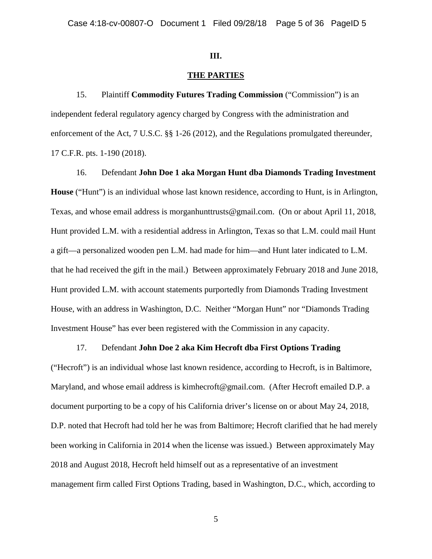#### **III.**

#### **THE PARTIES**

15. Plaintiff **Commodity Futures Trading Commission** ("Commission") is an independent federal regulatory agency charged by Congress with the administration and enforcement of the Act, 7 U.S.C. §§ 1-26 (2012), and the Regulations promulgated thereunder, 17 C.F.R. pts. 1-190 (2018).

16. Defendant **John Doe 1 aka Morgan Hunt dba Diamonds Trading Investment House** ("Hunt") is an individual whose last known residence, according to Hunt, is in Arlington, Texas, and whose email address is morganhunttrusts@gmail.com. (On or about April 11, 2018, Hunt provided L.M. with a residential address in Arlington, Texas so that L.M. could mail Hunt a gift—a personalized wooden pen L.M. had made for him—and Hunt later indicated to L.M. that he had received the gift in the mail.) Between approximately February 2018 and June 2018, Hunt provided L.M. with account statements purportedly from Diamonds Trading Investment House, with an address in Washington, D.C. Neither "Morgan Hunt" nor "Diamonds Trading Investment House" has ever been registered with the Commission in any capacity.

#### 17. Defendant **John Doe 2 aka Kim Hecroft dba First Options Trading**

("Hecroft") is an individual whose last known residence, according to Hecroft, is in Baltimore, Maryland, and whose email address is kimhecroft@gmail.com. (After Hecroft emailed D.P. a document purporting to be a copy of his California driver's license on or about May 24, 2018, D.P. noted that Hecroft had told her he was from Baltimore; Hecroft clarified that he had merely been working in California in 2014 when the license was issued.) Between approximately May 2018 and August 2018, Hecroft held himself out as a representative of an investment management firm called First Options Trading, based in Washington, D.C., which, according to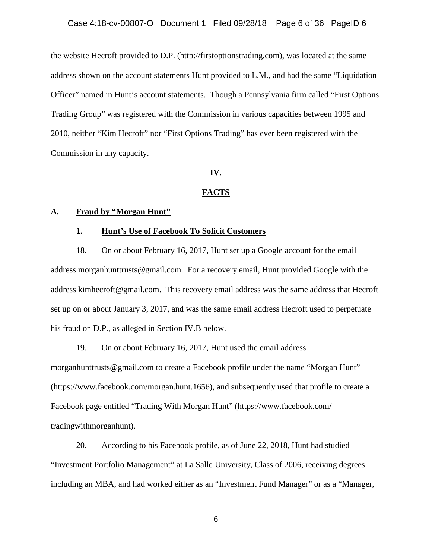the website Hecroft provided to D.P. (http://firstoptionstrading.com), was located at the same address shown on the account statements Hunt provided to L.M., and had the same "Liquidation Officer" named in Hunt's account statements. Though a Pennsylvania firm called "First Options Trading Group" was registered with the Commission in various capacities between 1995 and 2010, neither "Kim Hecroft" nor "First Options Trading" has ever been registered with the Commission in any capacity.

#### **IV.**

#### **FACTS**

#### **A. Fraud by "Morgan Hunt"**

#### **1. Hunt's Use of Facebook To Solicit Customers**

18. On or about February 16, 2017, Hunt set up a Google account for the email address morganhunttrusts@gmail.com. For a recovery email, Hunt provided Google with the address kimhecroft@gmail.com. This recovery email address was the same address that Hecroft set up on or about January 3, 2017, and was the same email address Hecroft used to perpetuate his fraud on D.P., as alleged in Section IV.B below.

19. On or about February 16, 2017, Hunt used the email address morganhunttrusts@gmail.com to create a Facebook profile under the name "Morgan Hunt" (https://www.facebook.com/morgan.hunt.1656), and subsequently used that profile to create a Facebook page entitled "Trading With Morgan Hunt" (https://www.facebook.com/ tradingwithmorganhunt).

20. According to his Facebook profile, as of June 22, 2018, Hunt had studied "Investment Portfolio Management" at La Salle University, Class of 2006, receiving degrees including an MBA, and had worked either as an "Investment Fund Manager" or as a "Manager,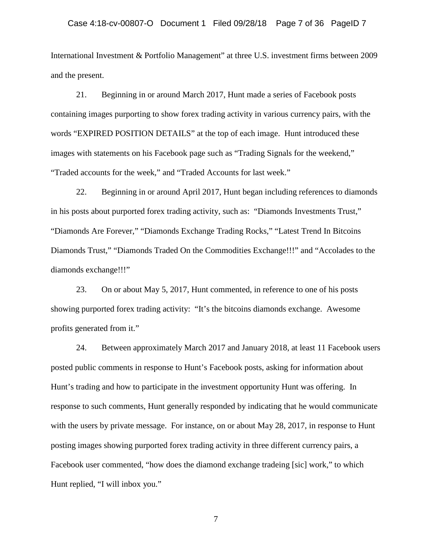#### Case 4:18-cv-00807-O Document 1 Filed 09/28/18 Page 7 of 36 PageID 7

International Investment & Portfolio Management" at three U.S. investment firms between 2009 and the present.

21. Beginning in or around March 2017, Hunt made a series of Facebook posts containing images purporting to show forex trading activity in various currency pairs, with the words "EXPIRED POSITION DETAILS" at the top of each image. Hunt introduced these images with statements on his Facebook page such as "Trading Signals for the weekend," "Traded accounts for the week," and "Traded Accounts for last week."

22. Beginning in or around April 2017, Hunt began including references to diamonds in his posts about purported forex trading activity, such as: "Diamonds Investments Trust," "Diamonds Are Forever," "Diamonds Exchange Trading Rocks," "Latest Trend In Bitcoins Diamonds Trust," "Diamonds Traded On the Commodities Exchange!!!" and "Accolades to the diamonds exchange!!!"

23. On or about May 5, 2017, Hunt commented, in reference to one of his posts showing purported forex trading activity: "It's the bitcoins diamonds exchange. Awesome profits generated from it."

24. Between approximately March 2017 and January 2018, at least 11 Facebook users posted public comments in response to Hunt's Facebook posts, asking for information about Hunt's trading and how to participate in the investment opportunity Hunt was offering. In response to such comments, Hunt generally responded by indicating that he would communicate with the users by private message. For instance, on or about May 28, 2017, in response to Hunt posting images showing purported forex trading activity in three different currency pairs, a Facebook user commented, "how does the diamond exchange tradeing [sic] work," to which Hunt replied, "I will inbox you."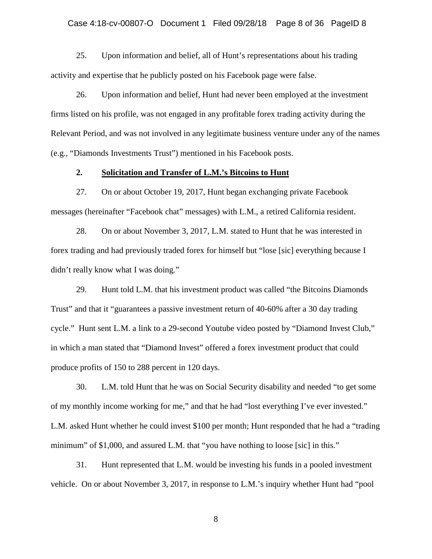#### Case 4:18-cv-00807-O Document 1 Filed 09/28/18 Page 8 of 36 PageID 8

25. Upon information and belief, all of Hunt's representations about his trading activity and expertise that he publicly posted on his Facebook page were false.

26. Upon information and belief, Hunt had never been employed at the investment firms listed on his profile, was not engaged in any profitable forex trading activity during the Relevant Period, and was not involved in any legitimate business venture under any of the names (e.g., "Diamonds Investments Trust") mentioned in his Facebook posts.

### **2. Solicitation and Transfer of L.M.'s Bitcoins to Hunt**

27. On or about October 19, 2017, Hunt began exchanging private Facebook messages (hereinafter "Facebook chat" messages) with L.M., a retired California resident.

28. On or about November 3, 2017, L.M. stated to Hunt that he was interested in forex trading and had previously traded forex for himself but "lose [sic] everything because I didn't really know what I was doing."

29. Hunt told L.M. that his investment product was called "the Bitcoins Diamonds Trust" and that it "guarantees a passive investment return of 40-60% after a 30 day trading cycle." Hunt sent L.M. a link to a 29-second Youtube video posted by "Diamond Invest Club," in which a man stated that "Diamond Invest" offered a forex investment product that could produce profits of 150 to 288 percent in 120 days.

30. L.M. told Hunt that he was on Social Security disability and needed "to get some of my monthly income working for me," and that he had "lost everything I've ever invested." L.M. asked Hunt whether he could invest \$100 per month; Hunt responded that he had a "trading minimum" of \$1,000, and assured L.M. that "you have nothing to loose [sic] in this."

31. Hunt represented that L.M. would be investing his funds in a pooled investment vehicle. On or about November 3, 2017, in response to L.M.'s inquiry whether Hunt had "pool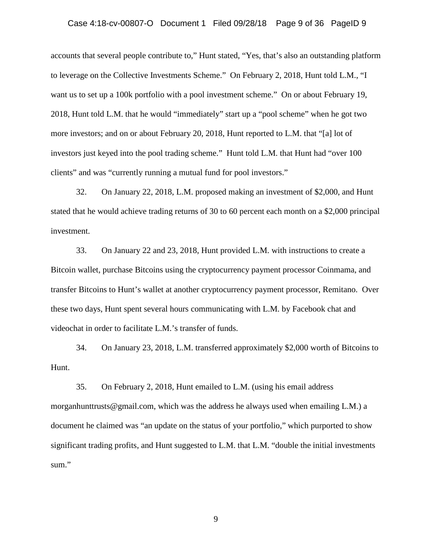#### Case 4:18-cv-00807-O Document 1 Filed 09/28/18 Page 9 of 36 PageID 9

accounts that several people contribute to," Hunt stated, "Yes, that's also an outstanding platform to leverage on the Collective Investments Scheme." On February 2, 2018, Hunt told L.M., "I want us to set up a 100k portfolio with a pool investment scheme." On or about February 19, 2018, Hunt told L.M. that he would "immediately" start up a "pool scheme" when he got two more investors; and on or about February 20, 2018, Hunt reported to L.M. that "[a] lot of investors just keyed into the pool trading scheme." Hunt told L.M. that Hunt had "over 100 clients" and was "currently running a mutual fund for pool investors."

32. On January 22, 2018, L.M. proposed making an investment of \$2,000, and Hunt stated that he would achieve trading returns of 30 to 60 percent each month on a \$2,000 principal investment.

33. On January 22 and 23, 2018, Hunt provided L.M. with instructions to create a Bitcoin wallet, purchase Bitcoins using the cryptocurrency payment processor Coinmama, and transfer Bitcoins to Hunt's wallet at another cryptocurrency payment processor, Remitano. Over these two days, Hunt spent several hours communicating with L.M. by Facebook chat and videochat in order to facilitate L.M.'s transfer of funds.

34. On January 23, 2018, L.M. transferred approximately \$2,000 worth of Bitcoins to Hunt.

35. On February 2, 2018, Hunt emailed to L.M. (using his email address morganhunttrusts @gmail.com, which was the address he always used when emailing L.M.) a document he claimed was "an update on the status of your portfolio," which purported to show significant trading profits, and Hunt suggested to L.M. that L.M. "double the initial investments sum."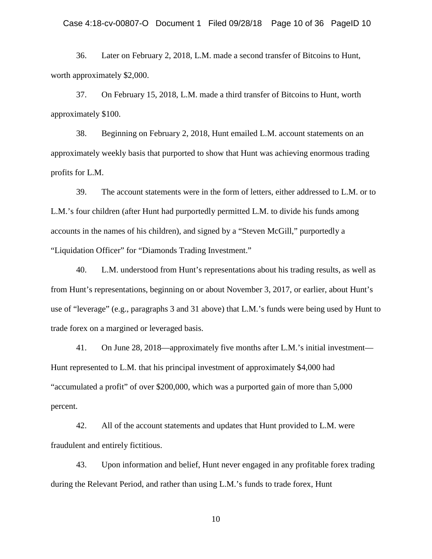36. Later on February 2, 2018, L.M. made a second transfer of Bitcoins to Hunt, worth approximately \$2,000.

37. On February 15, 2018, L.M. made a third transfer of Bitcoins to Hunt, worth approximately \$100.

38. Beginning on February 2, 2018, Hunt emailed L.M. account statements on an approximately weekly basis that purported to show that Hunt was achieving enormous trading profits for L.M.

39. The account statements were in the form of letters, either addressed to L.M. or to L.M.'s four children (after Hunt had purportedly permitted L.M. to divide his funds among accounts in the names of his children), and signed by a "Steven McGill," purportedly a "Liquidation Officer" for "Diamonds Trading Investment."

40. L.M. understood from Hunt's representations about his trading results, as well as from Hunt's representations, beginning on or about November 3, 2017, or earlier, about Hunt's use of "leverage" (e.g., paragraphs 3 and 31 above) that L.M.'s funds were being used by Hunt to trade forex on a margined or leveraged basis.

41. On June 28, 2018—approximately five months after L.M.'s initial investment— Hunt represented to L.M. that his principal investment of approximately \$4,000 had "accumulated a profit" of over \$200,000, which was a purported gain of more than 5,000 percent.

42. All of the account statements and updates that Hunt provided to L.M. were fraudulent and entirely fictitious.

43. Upon information and belief, Hunt never engaged in any profitable forex trading during the Relevant Period, and rather than using L.M.'s funds to trade forex, Hunt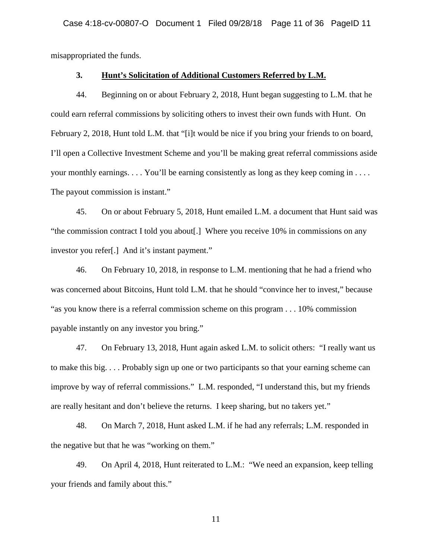misappropriated the funds.

## **3. Hunt's Solicitation of Additional Customers Referred by L.M.**

44. Beginning on or about February 2, 2018, Hunt began suggesting to L.M. that he could earn referral commissions by soliciting others to invest their own funds with Hunt. On February 2, 2018, Hunt told L.M. that "[i]t would be nice if you bring your friends to on board, I'll open a Collective Investment Scheme and you'll be making great referral commissions aside your monthly earnings. . . . You'll be earning consistently as long as they keep coming in . . . . The payout commission is instant."

45. On or about February 5, 2018, Hunt emailed L.M. a document that Hunt said was "the commission contract I told you about[.] Where you receive 10% in commissions on any investor you refer[.] And it's instant payment."

46. On February 10, 2018, in response to L.M. mentioning that he had a friend who was concerned about Bitcoins, Hunt told L.M. that he should "convince her to invest," because "as you know there is a referral commission scheme on this program . . . 10% commission payable instantly on any investor you bring."

47. On February 13, 2018, Hunt again asked L.M. to solicit others: "I really want us to make this big. . . . Probably sign up one or two participants so that your earning scheme can improve by way of referral commissions." L.M. responded, "I understand this, but my friends are really hesitant and don't believe the returns. I keep sharing, but no takers yet."

48. On March 7, 2018, Hunt asked L.M. if he had any referrals; L.M. responded in the negative but that he was "working on them."

49. On April 4, 2018, Hunt reiterated to L.M.: "We need an expansion, keep telling your friends and family about this."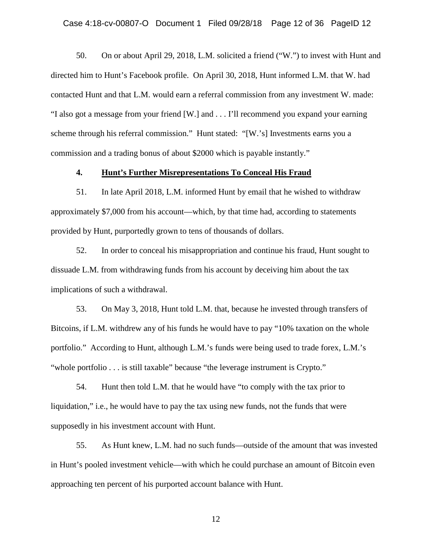50. On or about April 29, 2018, L.M. solicited a friend ("W.") to invest with Hunt and directed him to Hunt's Facebook profile. On April 30, 2018, Hunt informed L.M. that W. had contacted Hunt and that L.M. would earn a referral commission from any investment W. made: "I also got a message from your friend [W.] and . . . I'll recommend you expand your earning scheme through his referral commission." Hunt stated: "[W.'s] Investments earns you a commission and a trading bonus of about \$2000 which is payable instantly."

## **4. Hunt's Further Misrepresentations To Conceal His Fraud**

51. In late April 2018, L.M. informed Hunt by email that he wished to withdraw approximately \$7,000 from his account—which, by that time had, according to statements provided by Hunt, purportedly grown to tens of thousands of dollars.

52. In order to conceal his misappropriation and continue his fraud, Hunt sought to dissuade L.M. from withdrawing funds from his account by deceiving him about the tax implications of such a withdrawal.

53. On May 3, 2018, Hunt told L.M. that, because he invested through transfers of Bitcoins, if L.M. withdrew any of his funds he would have to pay "10% taxation on the whole portfolio." According to Hunt, although L.M.'s funds were being used to trade forex, L.M.'s "whole portfolio . . . is still taxable" because "the leverage instrument is Crypto."

54. Hunt then told L.M. that he would have "to comply with the tax prior to liquidation," i.e., he would have to pay the tax using new funds, not the funds that were supposedly in his investment account with Hunt.

55. As Hunt knew, L.M. had no such funds—outside of the amount that was invested in Hunt's pooled investment vehicle—with which he could purchase an amount of Bitcoin even approaching ten percent of his purported account balance with Hunt.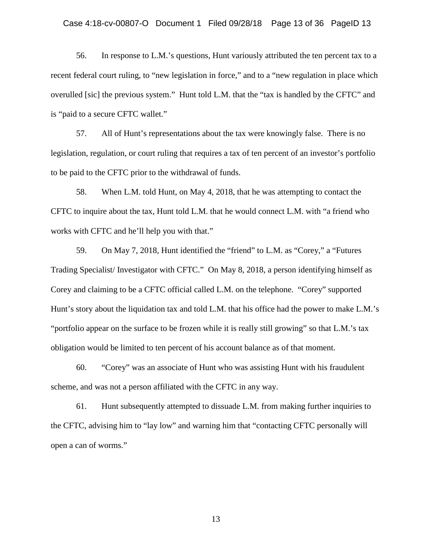#### Case 4:18-cv-00807-O Document 1 Filed 09/28/18 Page 13 of 36 PageID 13

56. In response to L.M.'s questions, Hunt variously attributed the ten percent tax to a recent federal court ruling, to "new legislation in force," and to a "new regulation in place which overulled [sic] the previous system." Hunt told L.M. that the "tax is handled by the CFTC" and is "paid to a secure CFTC wallet."

57. All of Hunt's representations about the tax were knowingly false. There is no legislation, regulation, or court ruling that requires a tax of ten percent of an investor's portfolio to be paid to the CFTC prior to the withdrawal of funds.

58. When L.M. told Hunt, on May 4, 2018, that he was attempting to contact the CFTC to inquire about the tax, Hunt told L.M. that he would connect L.M. with "a friend who works with CFTC and he'll help you with that."

59. On May 7, 2018, Hunt identified the "friend" to L.M. as "Corey," a "Futures Trading Specialist/ Investigator with CFTC." On May 8, 2018, a person identifying himself as Corey and claiming to be a CFTC official called L.M. on the telephone. "Corey" supported Hunt's story about the liquidation tax and told L.M. that his office had the power to make L.M.'s "portfolio appear on the surface to be frozen while it is really still growing" so that L.M.'s tax obligation would be limited to ten percent of his account balance as of that moment.

60. "Corey" was an associate of Hunt who was assisting Hunt with his fraudulent scheme, and was not a person affiliated with the CFTC in any way.

61. Hunt subsequently attempted to dissuade L.M. from making further inquiries to the CFTC, advising him to "lay low" and warning him that "contacting CFTC personally will open a can of worms."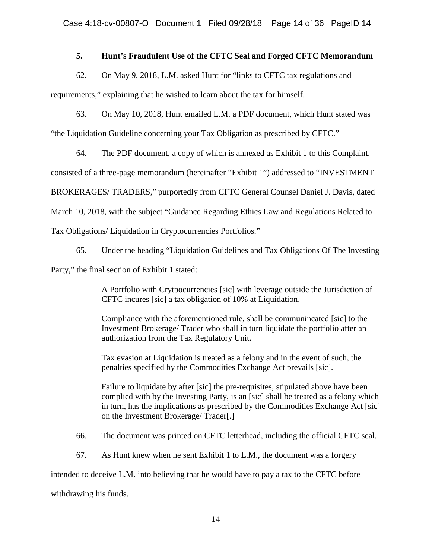## **5. Hunt's Fraudulent Use of the CFTC Seal and Forged CFTC Memorandum**

62. On May 9, 2018, L.M. asked Hunt for "links to CFTC tax regulations and

requirements," explaining that he wished to learn about the tax for himself.

63. On May 10, 2018, Hunt emailed L.M. a PDF document, which Hunt stated was

"the Liquidation Guideline concerning your Tax Obligation as prescribed by CFTC."

64. The PDF document, a copy of which is annexed as Exhibit 1 to this Complaint,

consisted of a three-page memorandum (hereinafter "Exhibit 1") addressed to "INVESTMENT

BROKERAGES/ TRADERS," purportedly from CFTC General Counsel Daniel J. Davis, dated

March 10, 2018, with the subject "Guidance Regarding Ethics Law and Regulations Related to

Tax Obligations/ Liquidation in Cryptocurrencies Portfolios."

65. Under the heading "Liquidation Guidelines and Tax Obligations Of The Investing

Party," the final section of Exhibit 1 stated:

A Portfolio with Crytpocurrencies [sic] with leverage outside the Jurisdiction of CFTC incures [sic] a tax obligation of 10% at Liquidation.

Compliance with the aforementioned rule, shall be communincated [sic] to the Investment Brokerage/ Trader who shall in turn liquidate the portfolio after an authorization from the Tax Regulatory Unit.

Tax evasion at Liquidation is treated as a felony and in the event of such, the penalties specified by the Commodities Exchange Act prevails [sic].

Failure to liquidate by after [sic] the pre-requisites, stipulated above have been complied with by the Investing Party, is an [sic] shall be treated as a felony which in turn, has the implications as prescribed by the Commodities Exchange Act [sic] on the Investment Brokerage/ Trader[.]

66. The document was printed on CFTC letterhead, including the official CFTC seal.

67. As Hunt knew when he sent Exhibit 1 to L.M., the document was a forgery

intended to deceive L.M. into believing that he would have to pay a tax to the CFTC before

withdrawing his funds.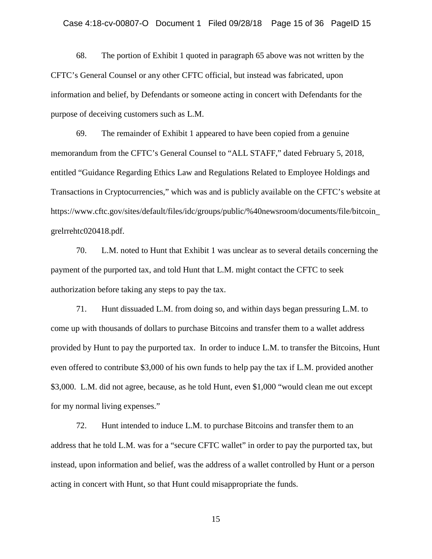68. The portion of Exhibit 1 quoted in paragraph 65 above was not written by the CFTC's General Counsel or any other CFTC official, but instead was fabricated, upon information and belief, by Defendants or someone acting in concert with Defendants for the purpose of deceiving customers such as L.M.

69. The remainder of Exhibit 1 appeared to have been copied from a genuine memorandum from the CFTC's General Counsel to "ALL STAFF," dated February 5, 2018, entitled "Guidance Regarding Ethics Law and Regulations Related to Employee Holdings and Transactions in Cryptocurrencies," which was and is publicly available on the CFTC's website at https://www.cftc.gov/sites/default/files/idc/groups/public/%40newsroom/documents/file/bitcoin\_ grelrrehtc020418.pdf.

70. L.M. noted to Hunt that Exhibit 1 was unclear as to several details concerning the payment of the purported tax, and told Hunt that L.M. might contact the CFTC to seek authorization before taking any steps to pay the tax.

71. Hunt dissuaded L.M. from doing so, and within days began pressuring L.M. to come up with thousands of dollars to purchase Bitcoins and transfer them to a wallet address provided by Hunt to pay the purported tax. In order to induce L.M. to transfer the Bitcoins, Hunt even offered to contribute \$3,000 of his own funds to help pay the tax if L.M. provided another \$3,000. L.M. did not agree, because, as he told Hunt, even \$1,000 "would clean me out except for my normal living expenses."

72. Hunt intended to induce L.M. to purchase Bitcoins and transfer them to an address that he told L.M. was for a "secure CFTC wallet" in order to pay the purported tax, but instead, upon information and belief, was the address of a wallet controlled by Hunt or a person acting in concert with Hunt, so that Hunt could misappropriate the funds.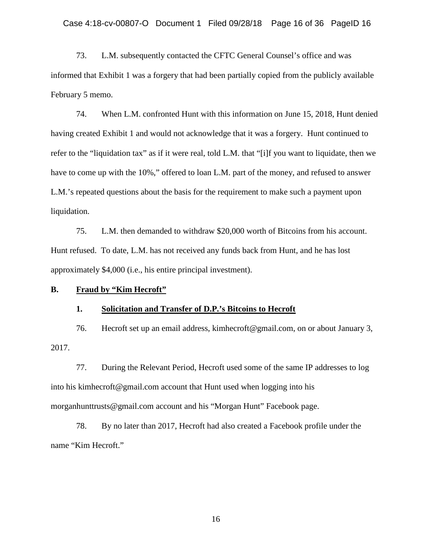73. L.M. subsequently contacted the CFTC General Counsel's office and was informed that Exhibit 1 was a forgery that had been partially copied from the publicly available February 5 memo.

74. When L.M. confronted Hunt with this information on June 15, 2018, Hunt denied having created Exhibit 1 and would not acknowledge that it was a forgery. Hunt continued to refer to the "liquidation tax" as if it were real, told L.M. that "[i]f you want to liquidate, then we have to come up with the 10%," offered to loan L.M. part of the money, and refused to answer L.M.'s repeated questions about the basis for the requirement to make such a payment upon liquidation.

75. L.M. then demanded to withdraw \$20,000 worth of Bitcoins from his account. Hunt refused. To date, L.M. has not received any funds back from Hunt, and he has lost approximately \$4,000 (i.e., his entire principal investment).

#### **B. Fraud by "Kim Hecroft"**

#### **1. Solicitation and Transfer of D.P.'s Bitcoins to Hecroft**

76. Hecroft set up an email address, kimhecroft@gmail.com, on or about January 3, 2017.

77. During the Relevant Period, Hecroft used some of the same IP addresses to log into his kimhecroft@gmail.com account that Hunt used when logging into his morganhunttrusts@gmail.com account and his "Morgan Hunt" Facebook page.

78. By no later than 2017, Hecroft had also created a Facebook profile under the name "Kim Hecroft."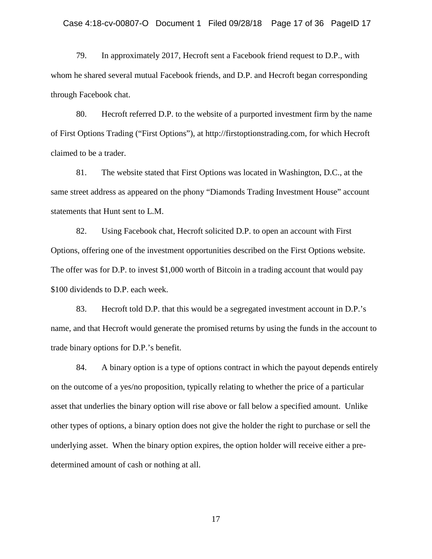79. In approximately 2017, Hecroft sent a Facebook friend request to D.P., with whom he shared several mutual Facebook friends, and D.P. and Hecroft began corresponding through Facebook chat.

80. Hecroft referred D.P. to the website of a purported investment firm by the name of First Options Trading ("First Options"), at http://firstoptionstrading.com, for which Hecroft claimed to be a trader.

81. The website stated that First Options was located in Washington, D.C., at the same street address as appeared on the phony "Diamonds Trading Investment House" account statements that Hunt sent to L.M.

82. Using Facebook chat, Hecroft solicited D.P. to open an account with First Options, offering one of the investment opportunities described on the First Options website. The offer was for D.P. to invest \$1,000 worth of Bitcoin in a trading account that would pay \$100 dividends to D.P. each week.

83. Hecroft told D.P. that this would be a segregated investment account in D.P.'s name, and that Hecroft would generate the promised returns by using the funds in the account to trade binary options for D.P.'s benefit.

84. A binary option is a type of options contract in which the payout depends entirely on the outcome of a yes/no proposition, typically relating to whether the price of a particular asset that underlies the binary option will rise above or fall below a specified amount. Unlike other types of options, a binary option does not give the holder the right to purchase or sell the underlying asset. When the binary option expires, the option holder will receive either a predetermined amount of cash or nothing at all.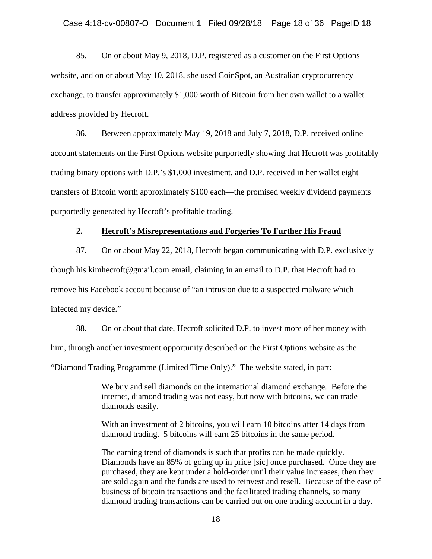85. On or about May 9, 2018, D.P. registered as a customer on the First Options website, and on or about May 10, 2018, she used CoinSpot, an Australian cryptocurrency exchange, to transfer approximately \$1,000 worth of Bitcoin from her own wallet to a wallet address provided by Hecroft.

86. Between approximately May 19, 2018 and July 7, 2018, D.P. received online account statements on the First Options website purportedly showing that Hecroft was profitably trading binary options with D.P.'s \$1,000 investment, and D.P. received in her wallet eight transfers of Bitcoin worth approximately \$100 each—the promised weekly dividend payments purportedly generated by Hecroft's profitable trading.

## **2. Hecroft's Misrepresentations and Forgeries To Further His Fraud**

87. On or about May 22, 2018, Hecroft began communicating with D.P. exclusively though his kimhecroft@gmail.com email, claiming in an email to D.P. that Hecroft had to remove his Facebook account because of "an intrusion due to a suspected malware which infected my device."

88. On or about that date, Hecroft solicited D.P. to invest more of her money with him, through another investment opportunity described on the First Options website as the "Diamond Trading Programme (Limited Time Only)." The website stated, in part:

> We buy and sell diamonds on the international diamond exchange. Before the internet, diamond trading was not easy, but now with bitcoins, we can trade diamonds easily.

> With an investment of 2 bitcoins, you will earn 10 bitcoins after 14 days from diamond trading. 5 bitcoins will earn 25 bitcoins in the same period.

The earning trend of diamonds is such that profits can be made quickly. Diamonds have an 85% of going up in price [sic] once purchased. Once they are purchased, they are kept under a hold-order until their value increases, then they are sold again and the funds are used to reinvest and resell. Because of the ease of business of bitcoin transactions and the facilitated trading channels, so many diamond trading transactions can be carried out on one trading account in a day.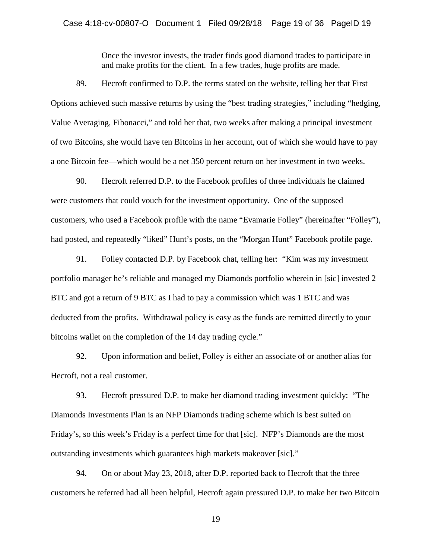Once the investor invests, the trader finds good diamond trades to participate in and make profits for the client. In a few trades, huge profits are made.

89. Hecroft confirmed to D.P. the terms stated on the website, telling her that First Options achieved such massive returns by using the "best trading strategies," including "hedging, Value Averaging, Fibonacci," and told her that, two weeks after making a principal investment of two Bitcoins, she would have ten Bitcoins in her account, out of which she would have to pay a one Bitcoin fee—which would be a net 350 percent return on her investment in two weeks.

90. Hecroft referred D.P. to the Facebook profiles of three individuals he claimed were customers that could vouch for the investment opportunity. One of the supposed customers, who used a Facebook profile with the name "Evamarie Folley" (hereinafter "Folley"), had posted, and repeatedly "liked" Hunt's posts, on the "Morgan Hunt" Facebook profile page.

91. Folley contacted D.P. by Facebook chat, telling her: "Kim was my investment portfolio manager he's reliable and managed my Diamonds portfolio wherein in [sic] invested 2 BTC and got a return of 9 BTC as I had to pay a commission which was 1 BTC and was deducted from the profits. Withdrawal policy is easy as the funds are remitted directly to your bitcoins wallet on the completion of the 14 day trading cycle."

92. Upon information and belief, Folley is either an associate of or another alias for Hecroft, not a real customer.

93. Hecroft pressured D.P. to make her diamond trading investment quickly: "The Diamonds Investments Plan is an NFP Diamonds trading scheme which is best suited on Friday's, so this week's Friday is a perfect time for that [sic]. NFP's Diamonds are the most outstanding investments which guarantees high markets makeover [sic]."

94. On or about May 23, 2018, after D.P. reported back to Hecroft that the three customers he referred had all been helpful, Hecroft again pressured D.P. to make her two Bitcoin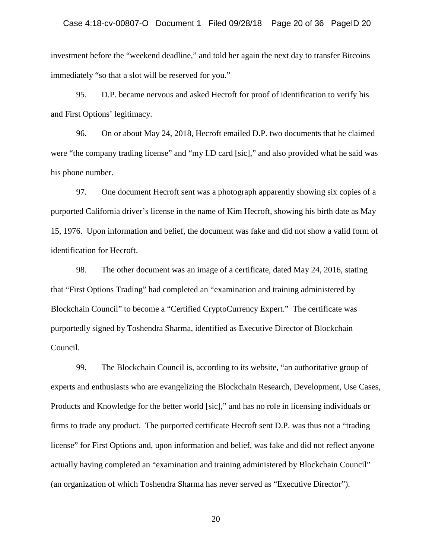investment before the "weekend deadline," and told her again the next day to transfer Bitcoins immediately "so that a slot will be reserved for you."

95. D.P. became nervous and asked Hecroft for proof of identification to verify his and First Options' legitimacy.

96. On or about May 24, 2018, Hecroft emailed D.P. two documents that he claimed were "the company trading license" and "my I.D card [sic]," and also provided what he said was his phone number.

97. One document Hecroft sent was a photograph apparently showing six copies of a purported California driver's license in the name of Kim Hecroft, showing his birth date as May 15, 1976. Upon information and belief, the document was fake and did not show a valid form of identification for Hecroft.

98. The other document was an image of a certificate, dated May 24, 2016, stating that "First Options Trading" had completed an "examination and training administered by Blockchain Council" to become a "Certified CryptoCurrency Expert." The certificate was purportedly signed by Toshendra Sharma, identified as Executive Director of Blockchain Council.

99. The Blockchain Council is, according to its website, "an authoritative group of experts and enthusiasts who are evangelizing the Blockchain Research, Development, Use Cases, Products and Knowledge for the better world [sic]," and has no role in licensing individuals or firms to trade any product. The purported certificate Hecroft sent D.P. was thus not a "trading license" for First Options and, upon information and belief, was fake and did not reflect anyone actually having completed an "examination and training administered by Blockchain Council" (an organization of which Toshendra Sharma has never served as "Executive Director").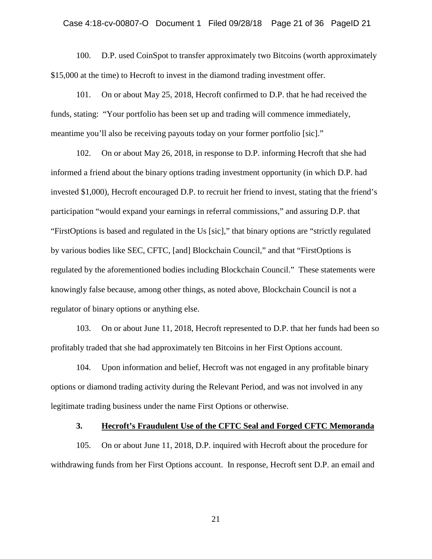#### Case 4:18-cv-00807-O Document 1 Filed 09/28/18 Page 21 of 36 PageID 21

100. D.P. used CoinSpot to transfer approximately two Bitcoins (worth approximately \$15,000 at the time) to Hecroft to invest in the diamond trading investment offer.

101. On or about May 25, 2018, Hecroft confirmed to D.P. that he had received the funds, stating: "Your portfolio has been set up and trading will commence immediately, meantime you'll also be receiving payouts today on your former portfolio [sic]."

102. On or about May 26, 2018, in response to D.P. informing Hecroft that she had informed a friend about the binary options trading investment opportunity (in which D.P. had invested \$1,000), Hecroft encouraged D.P. to recruit her friend to invest, stating that the friend's participation "would expand your earnings in referral commissions," and assuring D.P. that "FirstOptions is based and regulated in the Us [sic]," that binary options are "strictly regulated by various bodies like SEC, CFTC, [and] Blockchain Council," and that "FirstOptions is regulated by the aforementioned bodies including Blockchain Council." These statements were knowingly false because, among other things, as noted above, Blockchain Council is not a regulator of binary options or anything else.

103. On or about June 11, 2018, Hecroft represented to D.P. that her funds had been so profitably traded that she had approximately ten Bitcoins in her First Options account.

104. Upon information and belief, Hecroft was not engaged in any profitable binary options or diamond trading activity during the Relevant Period, and was not involved in any legitimate trading business under the name First Options or otherwise.

#### **3. Hecroft's Fraudulent Use of the CFTC Seal and Forged CFTC Memoranda**

105. On or about June 11, 2018, D.P. inquired with Hecroft about the procedure for withdrawing funds from her First Options account. In response, Hecroft sent D.P. an email and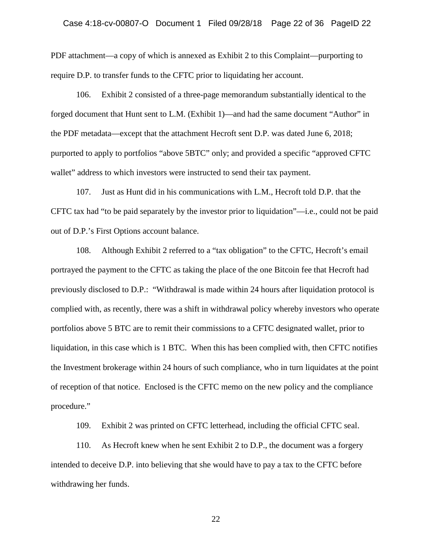PDF attachment—a copy of which is annexed as Exhibit 2 to this Complaint—purporting to require D.P. to transfer funds to the CFTC prior to liquidating her account.

106. Exhibit 2 consisted of a three-page memorandum substantially identical to the forged document that Hunt sent to L.M. (Exhibit 1)—and had the same document "Author" in the PDF metadata—except that the attachment Hecroft sent D.P. was dated June 6, 2018; purported to apply to portfolios "above 5BTC" only; and provided a specific "approved CFTC wallet" address to which investors were instructed to send their tax payment.

107. Just as Hunt did in his communications with L.M., Hecroft told D.P. that the CFTC tax had "to be paid separately by the investor prior to liquidation"—i.e., could not be paid out of D.P.'s First Options account balance.

108. Although Exhibit 2 referred to a "tax obligation" to the CFTC, Hecroft's email portrayed the payment to the CFTC as taking the place of the one Bitcoin fee that Hecroft had previously disclosed to D.P.: "Withdrawal is made within 24 hours after liquidation protocol is complied with, as recently, there was a shift in withdrawal policy whereby investors who operate portfolios above 5 BTC are to remit their commissions to a CFTC designated wallet, prior to liquidation, in this case which is 1 BTC. When this has been complied with, then CFTC notifies the Investment brokerage within 24 hours of such compliance, who in turn liquidates at the point of reception of that notice. Enclosed is the CFTC memo on the new policy and the compliance procedure."

109. Exhibit 2 was printed on CFTC letterhead, including the official CFTC seal.

110. As Hecroft knew when he sent Exhibit 2 to D.P., the document was a forgery intended to deceive D.P. into believing that she would have to pay a tax to the CFTC before withdrawing her funds.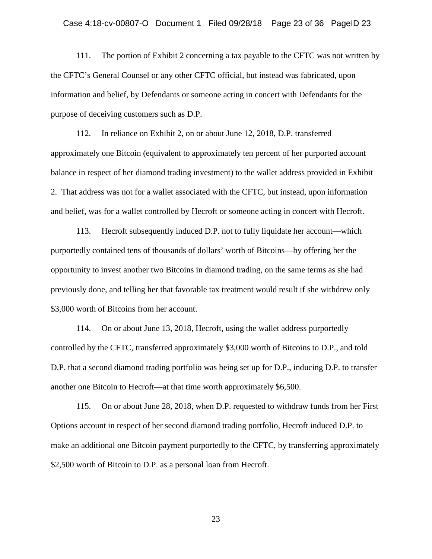111. The portion of Exhibit 2 concerning a tax payable to the CFTC was not written by the CFTC's General Counsel or any other CFTC official, but instead was fabricated, upon information and belief, by Defendants or someone acting in concert with Defendants for the purpose of deceiving customers such as D.P.

112. In reliance on Exhibit 2, on or about June 12, 2018, D.P. transferred approximately one Bitcoin (equivalent to approximately ten percent of her purported account balance in respect of her diamond trading investment) to the wallet address provided in Exhibit 2. That address was not for a wallet associated with the CFTC, but instead, upon information and belief, was for a wallet controlled by Hecroft or someone acting in concert with Hecroft.

113. Hecroft subsequently induced D.P. not to fully liquidate her account—which purportedly contained tens of thousands of dollars' worth of Bitcoins—by offering her the opportunity to invest another two Bitcoins in diamond trading, on the same terms as she had previously done, and telling her that favorable tax treatment would result if she withdrew only \$3,000 worth of Bitcoins from her account.

114. On or about June 13, 2018, Hecroft, using the wallet address purportedly controlled by the CFTC, transferred approximately \$3,000 worth of Bitcoins to D.P., and told D.P. that a second diamond trading portfolio was being set up for D.P., inducing D.P. to transfer another one Bitcoin to Hecroft—at that time worth approximately \$6,500.

115. On or about June 28, 2018, when D.P. requested to withdraw funds from her First Options account in respect of her second diamond trading portfolio, Hecroft induced D.P. to make an additional one Bitcoin payment purportedly to the CFTC, by transferring approximately \$2,500 worth of Bitcoin to D.P. as a personal loan from Hecroft.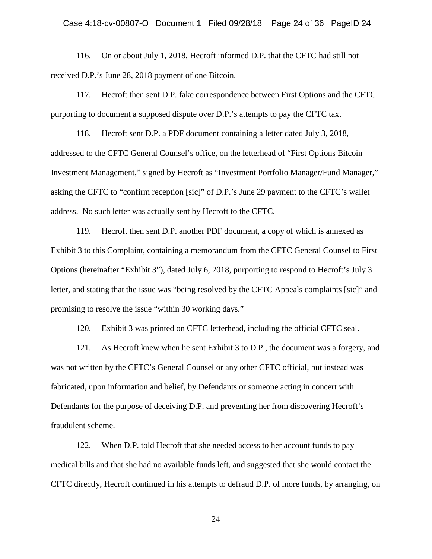116. On or about July 1, 2018, Hecroft informed D.P. that the CFTC had still not received D.P.'s June 28, 2018 payment of one Bitcoin.

117. Hecroft then sent D.P. fake correspondence between First Options and the CFTC purporting to document a supposed dispute over D.P.'s attempts to pay the CFTC tax.

118. Hecroft sent D.P. a PDF document containing a letter dated July 3, 2018, addressed to the CFTC General Counsel's office, on the letterhead of "First Options Bitcoin Investment Management," signed by Hecroft as "Investment Portfolio Manager/Fund Manager," asking the CFTC to "confirm reception [sic]" of D.P.'s June 29 payment to the CFTC's wallet address. No such letter was actually sent by Hecroft to the CFTC.

119. Hecroft then sent D.P. another PDF document, a copy of which is annexed as Exhibit 3 to this Complaint, containing a memorandum from the CFTC General Counsel to First Options (hereinafter "Exhibit 3"), dated July 6, 2018, purporting to respond to Hecroft's July 3 letter, and stating that the issue was "being resolved by the CFTC Appeals complaints [sic]" and promising to resolve the issue "within 30 working days."

120. Exhibit 3 was printed on CFTC letterhead, including the official CFTC seal.

121. As Hecroft knew when he sent Exhibit 3 to D.P., the document was a forgery, and was not written by the CFTC's General Counsel or any other CFTC official, but instead was fabricated, upon information and belief, by Defendants or someone acting in concert with Defendants for the purpose of deceiving D.P. and preventing her from discovering Hecroft's fraudulent scheme.

122. When D.P. told Hecroft that she needed access to her account funds to pay medical bills and that she had no available funds left, and suggested that she would contact the CFTC directly, Hecroft continued in his attempts to defraud D.P. of more funds, by arranging, on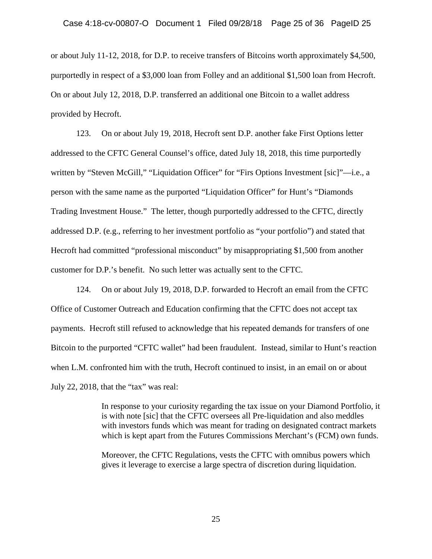or about July 11-12, 2018, for D.P. to receive transfers of Bitcoins worth approximately \$4,500, purportedly in respect of a \$3,000 loan from Folley and an additional \$1,500 loan from Hecroft. On or about July 12, 2018, D.P. transferred an additional one Bitcoin to a wallet address provided by Hecroft.

123. On or about July 19, 2018, Hecroft sent D.P. another fake First Options letter addressed to the CFTC General Counsel's office, dated July 18, 2018, this time purportedly written by "Steven McGill," "Liquidation Officer" for "Firs Options Investment [sic]"—i.e., a person with the same name as the purported "Liquidation Officer" for Hunt's "Diamonds Trading Investment House." The letter, though purportedly addressed to the CFTC, directly addressed D.P. (e.g., referring to her investment portfolio as "your portfolio") and stated that Hecroft had committed "professional misconduct" by misappropriating \$1,500 from another customer for D.P.'s benefit. No such letter was actually sent to the CFTC.

124. On or about July 19, 2018, D.P. forwarded to Hecroft an email from the CFTC Office of Customer Outreach and Education confirming that the CFTC does not accept tax payments. Hecroft still refused to acknowledge that his repeated demands for transfers of one Bitcoin to the purported "CFTC wallet" had been fraudulent. Instead, similar to Hunt's reaction when L.M. confronted him with the truth, Hecroft continued to insist, in an email on or about July 22, 2018, that the "tax" was real:

> In response to your curiosity regarding the tax issue on your Diamond Portfolio, it is with note [sic] that the CFTC oversees all Pre-liquidation and also meddles with investors funds which was meant for trading on designated contract markets which is kept apart from the Futures Commissions Merchant's (FCM) own funds.

Moreover, the CFTC Regulations, vests the CFTC with omnibus powers which gives it leverage to exercise a large spectra of discretion during liquidation.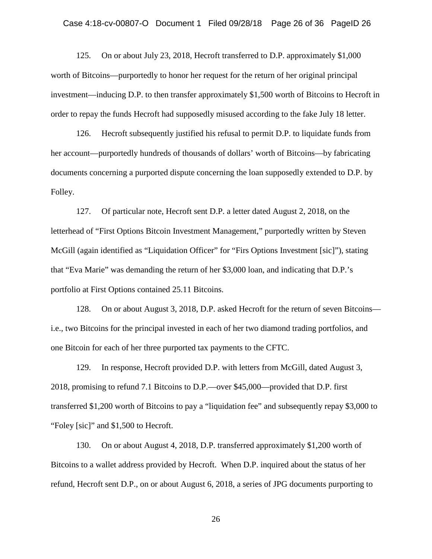125. On or about July 23, 2018, Hecroft transferred to D.P. approximately \$1,000 worth of Bitcoins—purportedly to honor her request for the return of her original principal investment—inducing D.P. to then transfer approximately \$1,500 worth of Bitcoins to Hecroft in order to repay the funds Hecroft had supposedly misused according to the fake July 18 letter.

126. Hecroft subsequently justified his refusal to permit D.P. to liquidate funds from her account—purportedly hundreds of thousands of dollars' worth of Bitcoins—by fabricating documents concerning a purported dispute concerning the loan supposedly extended to D.P. by Folley.

127. Of particular note, Hecroft sent D.P. a letter dated August 2, 2018, on the letterhead of "First Options Bitcoin Investment Management," purportedly written by Steven McGill (again identified as "Liquidation Officer" for "Firs Options Investment [sic]"), stating that "Eva Marie" was demanding the return of her \$3,000 loan, and indicating that D.P.'s portfolio at First Options contained 25.11 Bitcoins.

128. On or about August 3, 2018, D.P. asked Hecroft for the return of seven Bitcoins i.e., two Bitcoins for the principal invested in each of her two diamond trading portfolios, and one Bitcoin for each of her three purported tax payments to the CFTC.

129. In response, Hecroft provided D.P. with letters from McGill, dated August 3, 2018, promising to refund 7.1 Bitcoins to D.P.—over \$45,000—provided that D.P. first transferred \$1,200 worth of Bitcoins to pay a "liquidation fee" and subsequently repay \$3,000 to "Foley [sic]" and \$1,500 to Hecroft.

130. On or about August 4, 2018, D.P. transferred approximately \$1,200 worth of Bitcoins to a wallet address provided by Hecroft. When D.P. inquired about the status of her refund, Hecroft sent D.P., on or about August 6, 2018, a series of JPG documents purporting to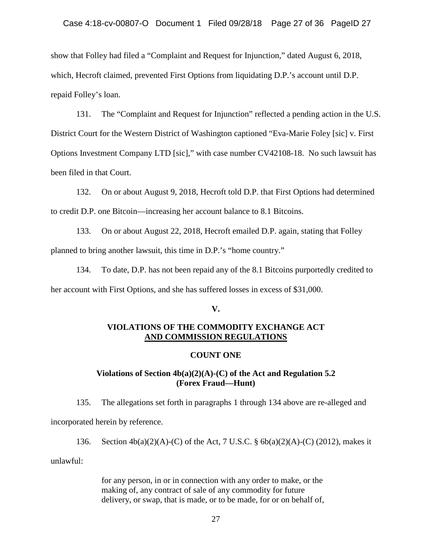show that Folley had filed a "Complaint and Request for Injunction," dated August 6, 2018, which, Hecroft claimed, prevented First Options from liquidating D.P.'s account until D.P. repaid Folley's loan.

131. The "Complaint and Request for Injunction" reflected a pending action in the U.S. District Court for the Western District of Washington captioned "Eva-Marie Foley [sic] v. First Options Investment Company LTD [sic]," with case number CV42108-18. No such lawsuit has been filed in that Court.

132. On or about August 9, 2018, Hecroft told D.P. that First Options had determined to credit D.P. one Bitcoin—increasing her account balance to 8.1 Bitcoins.

133. On or about August 22, 2018, Hecroft emailed D.P. again, stating that Folley planned to bring another lawsuit, this time in D.P.'s "home country."

134. To date, D.P. has not been repaid any of the 8.1 Bitcoins purportedly credited to her account with First Options, and she has suffered losses in excess of \$31,000.

#### **V.**

## **VIOLATIONS OF THE COMMODITY EXCHANGE ACT AND COMMISSION REGULATIONS**

#### **COUNT ONE**

## **Violations of Section 4b(a)(2)(A)-(C) of the Act and Regulation 5.2 (Forex Fraud—Hunt)**

135. The allegations set forth in paragraphs 1 through 134 above are re-alleged and incorporated herein by reference.

136. Section 4b(a)(2)(A)-(C) of the Act, 7 U.S.C. § 6b(a)(2)(A)-(C) (2012), makes it unlawful:

> for any person, in or in connection with any order to make, or the making of, any contract of sale of any commodity for future delivery, or swap, that is made, or to be made, for or on behalf of,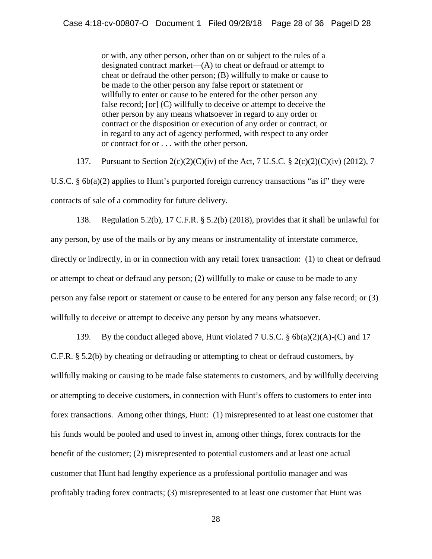or with, any other person, other than on or subject to the rules of a designated contract market—(A) to cheat or defraud or attempt to cheat or defraud the other person; (B) willfully to make or cause to be made to the other person any false report or statement or willfully to enter or cause to be entered for the other person any false record; [or] (C) willfully to deceive or attempt to deceive the other person by any means whatsoever in regard to any order or contract or the disposition or execution of any order or contract, or in regard to any act of agency performed, with respect to any order or contract for or . . . with the other person.

137. Pursuant to Section 2(c)(2)(C)(iv) of the Act, 7 U.S.C. § 2(c)(2)(C)(iv) (2012), 7

U.S.C. § 6b(a)(2) applies to Hunt's purported foreign currency transactions "as if" they were contracts of sale of a commodity for future delivery.

138. Regulation 5.2(b), 17 C.F.R. § 5.2(b) (2018), provides that it shall be unlawful for any person, by use of the mails or by any means or instrumentality of interstate commerce, directly or indirectly, in or in connection with any retail forex transaction: (1) to cheat or defraud or attempt to cheat or defraud any person; (2) willfully to make or cause to be made to any person any false report or statement or cause to be entered for any person any false record; or (3) willfully to deceive or attempt to deceive any person by any means whatsoever.

139. By the conduct alleged above, Hunt violated 7 U.S.C.  $\S$  6b(a)(2)(A)-(C) and 17 C.F.R. § 5.2(b) by cheating or defrauding or attempting to cheat or defraud customers, by willfully making or causing to be made false statements to customers, and by willfully deceiving or attempting to deceive customers, in connection with Hunt's offers to customers to enter into forex transactions. Among other things, Hunt: (1) misrepresented to at least one customer that his funds would be pooled and used to invest in, among other things, forex contracts for the benefit of the customer; (2) misrepresented to potential customers and at least one actual customer that Hunt had lengthy experience as a professional portfolio manager and was profitably trading forex contracts; (3) misrepresented to at least one customer that Hunt was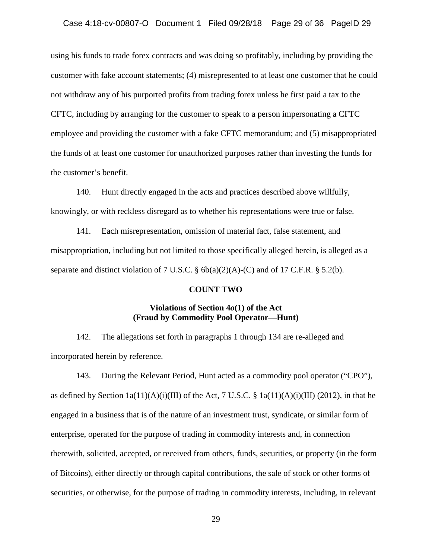#### Case 4:18-cv-00807-O Document 1 Filed 09/28/18 Page 29 of 36 PageID 29

using his funds to trade forex contracts and was doing so profitably, including by providing the customer with fake account statements; (4) misrepresented to at least one customer that he could not withdraw any of his purported profits from trading forex unless he first paid a tax to the CFTC, including by arranging for the customer to speak to a person impersonating a CFTC employee and providing the customer with a fake CFTC memorandum; and (5) misappropriated the funds of at least one customer for unauthorized purposes rather than investing the funds for the customer's benefit.

140. Hunt directly engaged in the acts and practices described above willfully, knowingly, or with reckless disregard as to whether his representations were true or false.

141. Each misrepresentation, omission of material fact, false statement, and misappropriation, including but not limited to those specifically alleged herein, is alleged as a separate and distinct violation of 7 U.S.C.  $\S$  6b(a)(2)(A)-(C) and of 17 C.F.R.  $\S$  5.2(b).

#### **COUNT TWO**

#### **Violations of Section 4***o***(1) of the Act (Fraud by Commodity Pool Operator—Hunt)**

142. The allegations set forth in paragraphs 1 through 134 are re-alleged and incorporated herein by reference.

143. During the Relevant Period, Hunt acted as a commodity pool operator ("CPO"), as defined by Section  $1a(11)(A)(i)(III)$  of the Act, 7 U.S.C. §  $1a(11)(A)(i)(III)$  (2012), in that he engaged in a business that is of the nature of an investment trust, syndicate, or similar form of enterprise, operated for the purpose of trading in commodity interests and, in connection therewith, solicited, accepted, or received from others, funds, securities, or property (in the form of Bitcoins), either directly or through capital contributions, the sale of stock or other forms of securities, or otherwise, for the purpose of trading in commodity interests, including, in relevant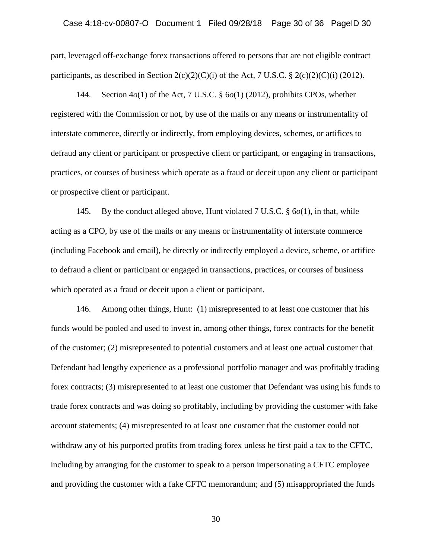part, leveraged off-exchange forex transactions offered to persons that are not eligible contract participants, as described in Section  $2(c)(2)(C)(i)$  of the Act, 7 U.S.C. §  $2(c)(2)(C)(i)$  (2012).

144. Section 4*o*(1) of the Act, 7 U.S.C. § 6*o*(1) (2012), prohibits CPOs, whether registered with the Commission or not, by use of the mails or any means or instrumentality of interstate commerce, directly or indirectly, from employing devices, schemes, or artifices to defraud any client or participant or prospective client or participant, or engaging in transactions, practices, or courses of business which operate as a fraud or deceit upon any client or participant or prospective client or participant.

145. By the conduct alleged above, Hunt violated 7 U.S.C. § 6*o*(1), in that, while acting as a CPO, by use of the mails or any means or instrumentality of interstate commerce (including Facebook and email), he directly or indirectly employed a device, scheme, or artifice to defraud a client or participant or engaged in transactions, practices, or courses of business which operated as a fraud or deceit upon a client or participant.

146. Among other things, Hunt: (1) misrepresented to at least one customer that his funds would be pooled and used to invest in, among other things, forex contracts for the benefit of the customer; (2) misrepresented to potential customers and at least one actual customer that Defendant had lengthy experience as a professional portfolio manager and was profitably trading forex contracts; (3) misrepresented to at least one customer that Defendant was using his funds to trade forex contracts and was doing so profitably, including by providing the customer with fake account statements; (4) misrepresented to at least one customer that the customer could not withdraw any of his purported profits from trading forex unless he first paid a tax to the CFTC, including by arranging for the customer to speak to a person impersonating a CFTC employee and providing the customer with a fake CFTC memorandum; and (5) misappropriated the funds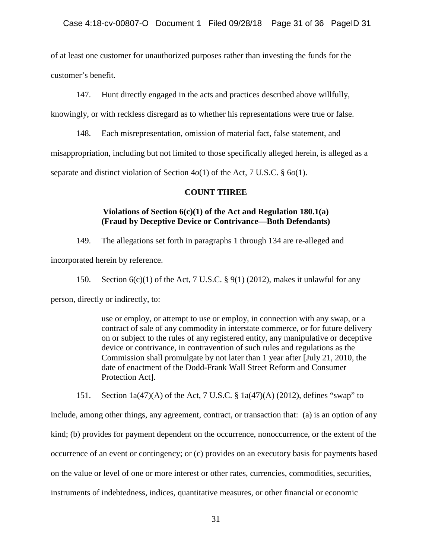of at least one customer for unauthorized purposes rather than investing the funds for the customer's benefit.

147. Hunt directly engaged in the acts and practices described above willfully,

knowingly, or with reckless disregard as to whether his representations were true or false.

148. Each misrepresentation, omission of material fact, false statement, and misappropriation, including but not limited to those specifically alleged herein, is alleged as a separate and distinct violation of Section 4*o*(1) of the Act, 7 U.S.C. § 6*o*(1).

#### **COUNT THREE**

## **Violations of Section 6(c)(1) of the Act and Regulation 180.1(a) (Fraud by Deceptive Device or Contrivance—Both Defendants)**

149. The allegations set forth in paragraphs 1 through 134 are re-alleged and

incorporated herein by reference.

150. Section  $6(c)(1)$  of the Act, 7 U.S.C. § 9(1) (2012), makes it unlawful for any

person, directly or indirectly, to:

use or employ, or attempt to use or employ, in connection with any swap, or a contract of sale of any commodity in interstate commerce, or for future delivery on or subject to the rules of any registered entity, any manipulative or deceptive device or contrivance, in contravention of such rules and regulations as the Commission shall promulgate by not later than 1 year after [July 21, 2010, the date of enactment of the Dodd-Frank Wall Street Reform and Consumer Protection Act].

151. Section 1a(47)(A) of the Act, 7 U.S.C. § 1a(47)(A) (2012), defines "swap" to

include, among other things, any agreement, contract, or transaction that: (a) is an option of any kind; (b) provides for payment dependent on the occurrence, nonoccurrence, or the extent of the occurrence of an event or contingency; or (c) provides on an executory basis for payments based on the value or level of one or more interest or other rates, currencies, commodities, securities, instruments of indebtedness, indices, quantitative measures, or other financial or economic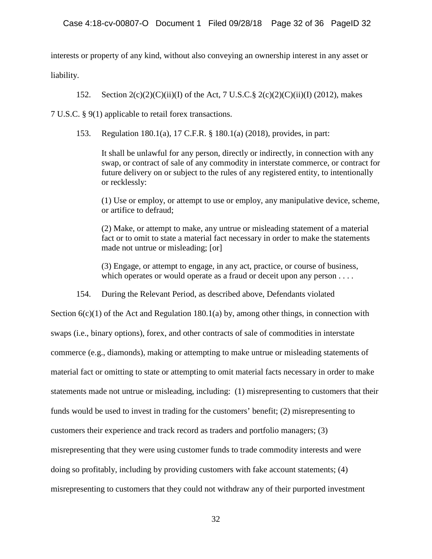interests or property of any kind, without also conveying an ownership interest in any asset or

liability.

152. Section  $2(c)(2)(C)(ii)(I)$  of the Act, 7 U.S.C. §  $2(c)(2)(C)(ii)(I)$  (2012), makes

7 U.S.C. § 9(1) applicable to retail forex transactions.

153. Regulation 180.1(a), 17 C.F.R. § 180.1(a) (2018), provides, in part:

It shall be unlawful for any person, directly or indirectly, in connection with any swap, or contract of sale of any commodity in interstate commerce, or contract for future delivery on or subject to the rules of any registered entity, to intentionally or recklessly:

(1) Use or employ, or attempt to use or employ, any manipulative device, scheme, or artifice to defraud;

(2) Make, or attempt to make, any untrue or misleading statement of a material fact or to omit to state a material fact necessary in order to make the statements made not untrue or misleading; [or]

(3) Engage, or attempt to engage, in any act, practice, or course of business, which operates or would operate as a fraud or deceit upon any person . . . .

154. During the Relevant Period, as described above, Defendants violated

Section  $6(c)(1)$  of the Act and Regulation 180.1(a) by, among other things, in connection with swaps (i.e., binary options), forex, and other contracts of sale of commodities in interstate commerce (e.g., diamonds), making or attempting to make untrue or misleading statements of material fact or omitting to state or attempting to omit material facts necessary in order to make statements made not untrue or misleading, including: (1) misrepresenting to customers that their funds would be used to invest in trading for the customers' benefit; (2) misrepresenting to customers their experience and track record as traders and portfolio managers; (3) misrepresenting that they were using customer funds to trade commodity interests and were doing so profitably, including by providing customers with fake account statements; (4) misrepresenting to customers that they could not withdraw any of their purported investment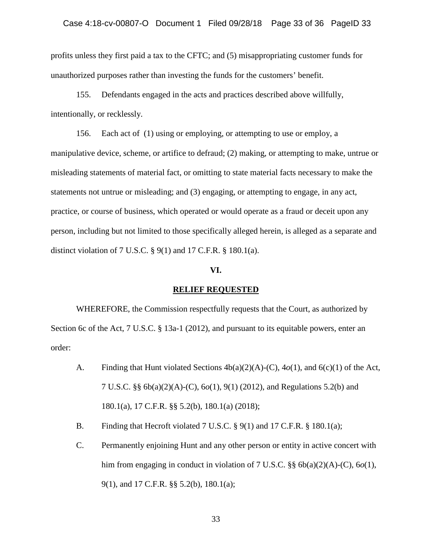profits unless they first paid a tax to the CFTC; and (5) misappropriating customer funds for unauthorized purposes rather than investing the funds for the customers' benefit.

155. Defendants engaged in the acts and practices described above willfully, intentionally, or recklessly.

156. Each act of (1) using or employing, or attempting to use or employ, a manipulative device, scheme, or artifice to defraud; (2) making, or attempting to make, untrue or misleading statements of material fact, or omitting to state material facts necessary to make the statements not untrue or misleading; and (3) engaging, or attempting to engage, in any act, practice, or course of business, which operated or would operate as a fraud or deceit upon any person, including but not limited to those specifically alleged herein, is alleged as a separate and distinct violation of 7 U.S.C. § 9(1) and 17 C.F.R. § 180.1(a).

#### **VI.**

#### **RELIEF REQUESTED**

WHEREFORE, the Commission respectfully requests that the Court, as authorized by Section 6c of the Act, 7 U.S.C. § 13a-1 (2012), and pursuant to its equitable powers, enter an order:

- A. Finding that Hunt violated Sections 4b(a)(2)(A)-(C), 4*o*(1), and 6(c)(1) of the Act, 7 U.S.C. §§ 6b(a)(2)(A)-(C), 6*o*(1), 9(1) (2012), and Regulations 5.2(b) and 180.1(a), 17 C.F.R. §§ 5.2(b), 180.1(a) (2018);
- B. Finding that Hecroft violated 7 U.S.C.  $\S$  9(1) and 17 C.F.R.  $\S$  180.1(a);
- C. Permanently enjoining Hunt and any other person or entity in active concert with him from engaging in conduct in violation of 7 U.S.C.  $\S$  6b(a)(2)(A)-(C), 6*o*(1), 9(1), and 17 C.F.R. §§ 5.2(b), 180.1(a);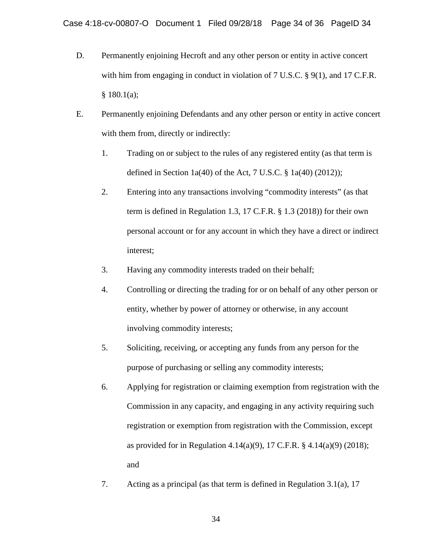- D. Permanently enjoining Hecroft and any other person or entity in active concert with him from engaging in conduct in violation of 7 U.S.C. § 9(1), and 17 C.F.R.  $§ 180.1(a);$
- E. Permanently enjoining Defendants and any other person or entity in active concert with them from, directly or indirectly:
	- 1. Trading on or subject to the rules of any registered entity (as that term is defined in Section 1a(40) of the Act, 7 U.S.C.  $\S$  1a(40) (2012));
	- 2. Entering into any transactions involving "commodity interests" (as that term is defined in Regulation 1.3, 17 C.F.R. § 1.3 (2018)) for their own personal account or for any account in which they have a direct or indirect interest;
	- 3. Having any commodity interests traded on their behalf;
	- 4. Controlling or directing the trading for or on behalf of any other person or entity, whether by power of attorney or otherwise, in any account involving commodity interests;
	- 5. Soliciting, receiving, or accepting any funds from any person for the purpose of purchasing or selling any commodity interests;
	- 6. Applying for registration or claiming exemption from registration with the Commission in any capacity, and engaging in any activity requiring such registration or exemption from registration with the Commission, except as provided for in Regulation 4.14(a)(9), 17 C.F.R. § 4.14(a)(9) (2018); and
	- 7. Acting as a principal (as that term is defined in Regulation 3.1(a), 17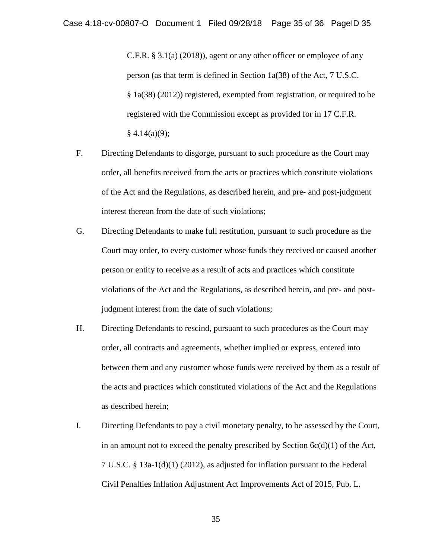C.F.R. § 3.1(a) (2018)), agent or any other officer or employee of any person (as that term is defined in Section 1a(38) of the Act, 7 U.S.C. § 1a(38) (2012)) registered, exempted from registration, or required to be registered with the Commission except as provided for in 17 C.F.R.  $§$  4.14(a)(9);

- F. Directing Defendants to disgorge, pursuant to such procedure as the Court may order, all benefits received from the acts or practices which constitute violations of the Act and the Regulations, as described herein, and pre- and post-judgment interest thereon from the date of such violations;
- G. Directing Defendants to make full restitution, pursuant to such procedure as the Court may order, to every customer whose funds they received or caused another person or entity to receive as a result of acts and practices which constitute violations of the Act and the Regulations, as described herein, and pre- and postjudgment interest from the date of such violations;
- H. Directing Defendants to rescind, pursuant to such procedures as the Court may order, all contracts and agreements, whether implied or express, entered into between them and any customer whose funds were received by them as a result of the acts and practices which constituted violations of the Act and the Regulations as described herein;
- I. Directing Defendants to pay a civil monetary penalty, to be assessed by the Court, in an amount not to exceed the penalty prescribed by Section  $6c(d)(1)$  of the Act, 7 U.S.C. § 13a-1(d)(1) (2012), as adjusted for inflation pursuant to the Federal Civil Penalties Inflation Adjustment Act Improvements Act of 2015, Pub. L.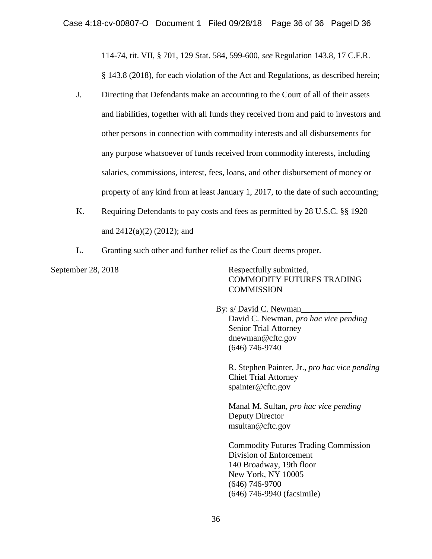114-74, tit. VII, § 701, 129 Stat. 584, 599-600, *see* Regulation 143.8, 17 C.F.R. § 143.8 (2018), for each violation of the Act and Regulations, as described herein;

- J. Directing that Defendants make an accounting to the Court of all of their assets and liabilities, together with all funds they received from and paid to investors and other persons in connection with commodity interests and all disbursements for any purpose whatsoever of funds received from commodity interests, including salaries, commissions, interest, fees, loans, and other disbursement of money or property of any kind from at least January 1, 2017, to the date of such accounting;
- K. Requiring Defendants to pay costs and fees as permitted by 28 U.S.C. §§ 1920 and 2412(a)(2) (2012); and
- L. Granting such other and further relief as the Court deems proper.

September 28, 2018 Respectfully submitted, COMMODITY FUTURES TRADING **COMMISSION** 

> By: s/ David C. Newman David C. Newman, *pro hac vice pending* Senior Trial Attorney dnewman@cftc.gov (646) 746-9740

R. Stephen Painter, Jr., *pro hac vice pending* Chief Trial Attorney spainter@cftc.gov

Manal M. Sultan, *pro hac vice pending* Deputy Director msultan@cftc.gov

Commodity Futures Trading Commission Division of Enforcement 140 Broadway, 19th floor New York, NY 10005 (646) 746-9700 (646) 746-9940 (facsimile)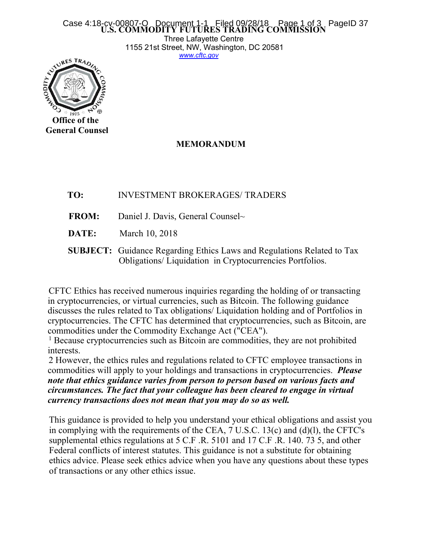### **U.S. COMMODITY FUTURES TRADING COMMISSION** Case 4:18-cv-00807-O Document 1-1 Filed 09/28/18 Page 1 of 3 PageID 37

Three Lafayette Centre 1155 21st Street, NW, Washington, DC 20581 *[www.cftc.gov](http://www.cftc.gov)*



## **MEMORANDUM**

- **TO:** INVESTMENT BROKERAGES/ TRADERS
- **FROM:** Daniel J. Davis, General Counsel~
- **DATE:** March 10, 2018
- **SUBJECT:** Guidance Regarding Ethics Laws and Regulations Related to Tax Obligations/ Liquidation in Cryptocurrencies Portfolios.

CFTC Ethics has received numerous inquiries regarding the holding of or transacting in cryptocurrencies, or virtual currencies, such as Bitcoin. The following guidance discusses the rules related to Tax obligations/ Liquidation holding and of Portfolios in cryptocurrencies. The CFTC has determined that cryptocurrencies, such as Bitcoin, are commodities under the Commodity Exchange Act ("CEA").

<sup>1</sup> Because cryptocurrencies such as Bitcoin are commodities, they are not prohibited interests.

2 However, the ethics rules and regulations related to CFTC employee transactions in commodities will apply to yourholdings and transactions in cryptocurrencies. *Please note that ethics guidance varies from person toperson based on various facts and circumstances. The fact that your colleague has been cleared to engage in virtual currency transactions does not mean that you may do so as well.*

This guidance is provided to help you understand your ethical obligations and assist you in complying with the requirements of the CEA,  $7 \text{ U.S.C. } 13(c)$  and (d)(l), the CFTC's supplemental ethics regulations at 5 C.F .R. 5101 and 17 C.F .R. 140. 73 5, and other Federal conflicts of interest statutes. This guidance is not a substitute for obtaining ethics advice. Please seek ethics advice when you have any questions about these types of transactions orany other ethics issue.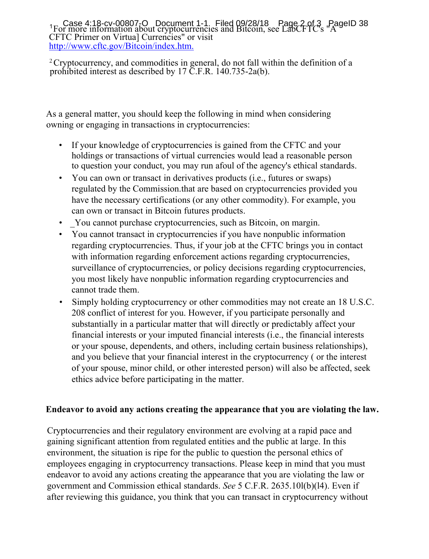$1_F$  case 4.16-cv-00007-0 Bocament 1-1:  $\frac{1}{100}$  by Eq. 2.40  $\frac{1}{200}$  and Bitcoin, see LabCFTC's  $\frac{1}{100}$  and  $\frac{1}{200}$ CFTC Primer on Virtua]Currencies" or visit <http://www.cftc.gov/Bitcoin/index.htm.> Case  $4.18$ -cv-00807-O Document 1-1. Filed  $0.9/28/18$  Page 2 of 3 PageID 38

<sup>2</sup> Cryptocurrency, and commodities in general, do not fall within the definition of a prohibited interest as described by 17 C.F.R. 140.735-2a(b).

As a general matter, you should keep the following in mind when considering owning or engaging in transactions in cryptocurrencies:

- If your knowledge of cryptocurrencies is gained from the CFTC and your holdings or transactions of virtual currencies would lead a reasonable person to question your conduct, you may run afoul of the agency's ethical standards.
- You can own or transact in derivatives products (i.e., futures or swaps) regulated by the Commission.that are based on cryptocurrencies provided you have the necessary certifications (or any other commodity). For example, you can own or transact in Bitcoin futures products.
- \_You cannot purchase cryptocurrencies, such as Bitcoin, on margin.
- You cannot transact in cryptocurrencies if you have nonpublic information regarding cryptocurrencies. Thus, if your job at the CFTC brings you in contact with information regarding enforcement actions regarding cryptocurrencies, surveillance of cryptocurrencies, or policy decisions regarding cryptocurrencies, you most likely have nonpublic information regarding cryptocurrencies and cannot trade them.
- Simply holding cryptocurrency or other commodities may not create an 18 U.S.C. 208 conflict of interest for you. However, if you participate personally and substantially in a particular matter that will directly or predictably affect your financial interests or your imputed financial interests (i.e., the financial interests or your spouse, dependents, and others, including certain business relationships), and you believe that your financial interest in the cryptocurrency ( or the interest of your spouse, minor child, or other interested person) will also be affected, seek ethics advice before participating in the matter.

# **Endeavor to avoid any actions creating the appearance that you are violating the law.**

Cryptocurrencies and their regulatory environment are evolving at a rapid pace and gaining significant attention from regulated entities and the public at large. In this environment, the situation is ripe for the public to question the personal ethics of employees engaging in cryptocurrency transactions. Please keep in mind that you must endeavor to avoid any actions creating the appearance that you are violating the law or government and Commission ethical standards. *See* 5 C.F.R. 2635.10l(b)(l4). Even if after reviewing this guidance, you think that you can transact in cryptocurrency without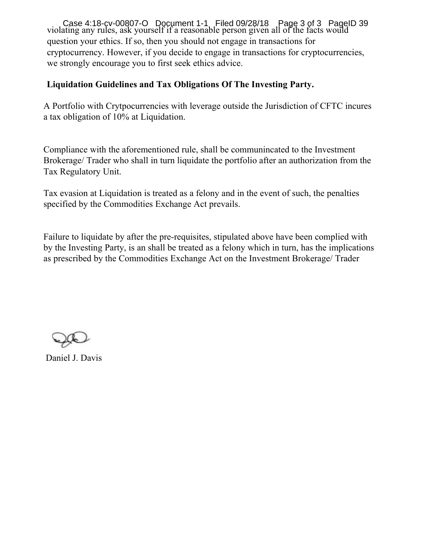violating any rules, ask yourself if a reasonable person given all of the facts would question your ethics. If so, then you should not engage in transactions for cryptocurrency. However, if you decide to engage in transactions for cryptocurrencies, we strongly encourage you to first seek ethics advice. Case 4:18-cv-00807-O Document 1-1 Filed 09/28/18 Page 3 of 3 Page ID 39

## **Liquidation Guidelines and Tax Obligations Of The Investing Party.**

A Portfolio with Crytpocurrencies with leverage outside the Jurisdiction of CFTC incures a tax obligation of 10% at Liquidation.

Compliance with the aforementioned rule, shall be communincated to the Investment Brokerage/ Trader who shall in turn liquidate the portfolio after an authorization from the Tax Regulatory Unit.

Tax evasion at Liquidation is treated as a felony and in the event of such, the penalties specified by the Commodities Exchange Act prevails.

Failure to liquidate by after the pre-requisites, stipulated above have been complied with by the Investing Party, is an shall be treated as a felony which in turn, has the implications as prescribed by the Commodities Exchange Act on the Investment Brokerage/ Trader

Daniel J. Davis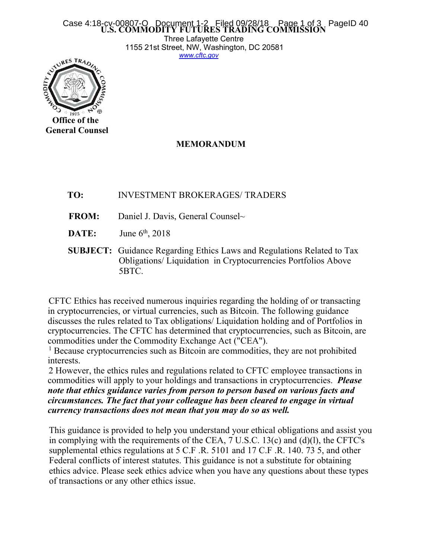## **U.S. COMMODITY FUTURES TRADING COMMISSION** Case 4:18-cv-00807-O Document 1-2 Filed 09/28/18 Page 1 of 3 PageID 40

Three Lafayette Centre 1155 21st Street, NW, Washington, DC 20581 *[www.cftc.gov](http://www.cftc.gov)*



## **MEMORANDUM**

- **TO:** INVESTMENT BROKERAGES/ TRADERS
- **FROM:** Daniel J. Davis, General Counsel~
- **DATE:** June 6<sup>th</sup>, 2018
- **SUBJECT:** Guidance Regarding Ethics Laws and Regulations Related to Tax Obligations/ Liquidation in Cryptocurrencies Portfolios Above 5BTC.

CFTC Ethics has received numerous inquiries regarding the holding of or transacting in cryptocurrencies, or virtual currencies, such as Bitcoin. The following guidance discusses the rules related to Tax obligations/ Liquidation holding and of Portfolios in cryptocurrencies. The CFTC has determined that cryptocurrencies, such as Bitcoin, are commodities under the Commodity Exchange Act ("CEA").

<sup>1</sup> Because cryptocurrencies such as Bitcoin are commodities, they are not prohibited interests.

2 However, the ethics rules and regulations related to CFTC employee transactions in commodities will apply to yourholdings and transactions in cryptocurrencies. *Please note that ethics guidance varies from person toperson based on various facts and circumstances. The fact that your colleague has been cleared to engage in virtual currency transactions does not mean that you may do so as well.*

This guidance is provided to help you understand your ethical obligations and assist you in complying with the requirements of the CEA,  $7 \text{ U.S.C. } 13(c)$  and (d)(l), the CFTC's supplemental ethics regulations at 5 C.F .R. 5101 and 17 C.F .R. 140. 73 5, and other Federal conflicts of interest statutes. This guidance is not a substitute for obtaining ethics advice. Please seek ethics advice when you have any questions about these types of transactions orany other ethics issue.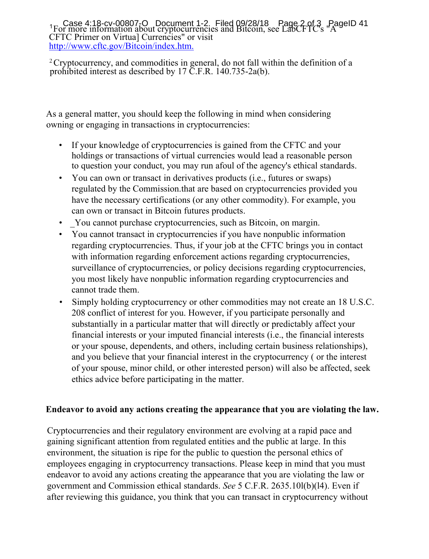$1_F$  or more information about cryptocurrencies and Bitcoin, see LabCFTC's  $A^4$ CFTC Primer on Virtua]Currencies" or visit <http://www.cftc.gov/Bitcoin/index.htm.> Case  $4.18$ -cv-00807-O Document 1-2. Filed  $0.9/28/18$  Page 2 of 3 PageID 41

<sup>2</sup> Cryptocurrency, and commodities in general, do not fall within the definition of a prohibited interest as described by 17 C.F.R. 140.735-2a(b).

As a general matter, you should keep the following in mind when considering owning or engaging in transactions in cryptocurrencies:

- If your knowledge of cryptocurrencies is gained from the CFTC and your holdings or transactions of virtual currencies would lead a reasonable person to question your conduct, you may run afoul of the agency's ethical standards.
- You can own or transact in derivatives products (i.e., futures or swaps) regulated by the Commission.that are based on cryptocurrencies provided you have the necessary certifications (or any other commodity). For example, you can own or transact in Bitcoin futures products.
- \_You cannot purchase cryptocurrencies, such as Bitcoin, on margin.
- You cannot transact in cryptocurrencies if you have nonpublic information regarding cryptocurrencies. Thus, if your job at the CFTC brings you in contact with information regarding enforcement actions regarding cryptocurrencies, surveillance of cryptocurrencies, or policy decisions regarding cryptocurrencies, you most likely have nonpublic information regarding cryptocurrencies and cannot trade them.
- Simply holding cryptocurrency or other commodities may not create an 18 U.S.C. 208 conflict of interest for you. However, if you participate personally and substantially in a particular matter that will directly or predictably affect your financial interests or your imputed financial interests (i.e., the financial interests or your spouse, dependents, and others, including certain business relationships), and you believe that your financial interest in the cryptocurrency ( or the interest of your spouse, minor child, or other interested person) will also be affected, seek ethics advice before participating in the matter.

# **Endeavor to avoid any actions creating the appearance that you are violating the law.**

Cryptocurrencies and their regulatory environment are evolving at a rapid pace and gaining significant attention from regulated entities and the public at large. In this environment, the situation is ripe for the public to question the personal ethics of employees engaging in cryptocurrency transactions. Please keep in mind that you must endeavor to avoid any actions creating the appearance that you are violating the law or government and Commission ethical standards. *See* 5 C.F.R. 2635.10l(b)(l4). Even if after reviewing this guidance, you think that you can transact in cryptocurrency without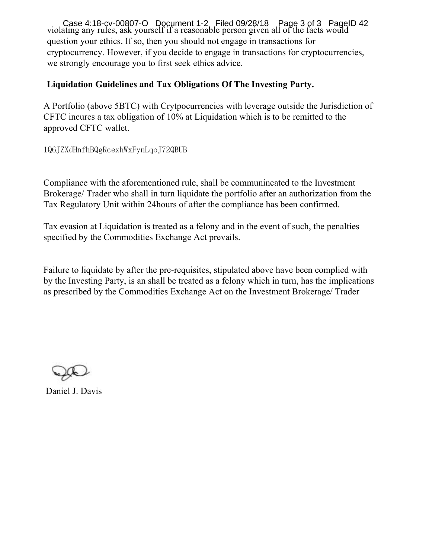violating any rules, ask yourself if a reasonable person given all of the facts would question your ethics. If so, then you should not engage in transactions for cryptocurrency. However, if you decide to engage in transactions for cryptocurrencies, we strongly encourage you to first seek ethics advice. Case 4:18-cv-00807-O Document 1-2, Filed 09/28/18 Page 3 of 3 Page ID 42

## **Liquidation Guidelines and Tax Obligations Of The Investing Party.**

A Portfolio (above 5BTC) with Crytpocurrencies with leverage outside the Jurisdiction of CFTC incures a tax obligation of 10% at Liquidation which is to be remitted to the approved CFTC wallet.

1Q6JZXdHnfhBQgRcexhWxFynLqoJ72QBUB

Compliance with the aforementioned rule, shall be communincated to the Investment Brokerage/ Trader who shall in turn liquidate the portfolio after an authorization from the Tax Regulatory Unit within 24 hours of after the compliance has been confirmed.

Tax evasion at Liquidation is treated as a felony and in the event of such, the penalties specified by the Commodities Exchange Act prevails.

Failure to liquidate by after the pre-requisites, stipulated above have been complied with by the Investing Party, is an shall be treated as a felony which in turn, has the implications as prescribed by the Commodities Exchange Act on the Investment Brokerage/ Trader

Daniel J. Davis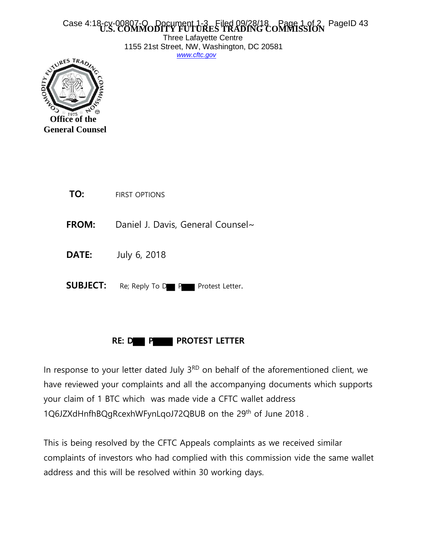#### Case 4:18-cv-00807-O Document 1-3 Filed 09/28/18 **CAGE 1 of 2 PageID 43** Case 4:18-cx

Three Lafayette Centre 1155 21st Street, NW, Washington, DC 20581 *[www.cftc.gov](http://www.cftc.gov/)*



| TO:             | <b>FIRST OPTIONS</b>              |
|-----------------|-----------------------------------|
| <b>FROM:</b>    | Daniel J. Davis, General Counsel~ |
| <b>DATE:</b>    | July 6, 2018                      |
| <b>SUBJECT:</b> | Re; Reply To D P Protest Letter.  |

# **RE: D P P** PROTEST LETTER

In response to your letter dated July  $3<sup>RD</sup>$  on behalf of the aforementioned client, we have reviewed your complaints and all the accompanying documents which supports your claim of 1 BTC which was made vide a CFTC wallet address 1Q6JZXdHnfhBQgRcexhWFynLqoJ72QBUB on the 29th of June 2018 .

This is being resolved by the CFTC Appeals complaints as we received similar complaints of investors who had complied with this commission vide the same wallet address and this will be resolved within 30 working days.